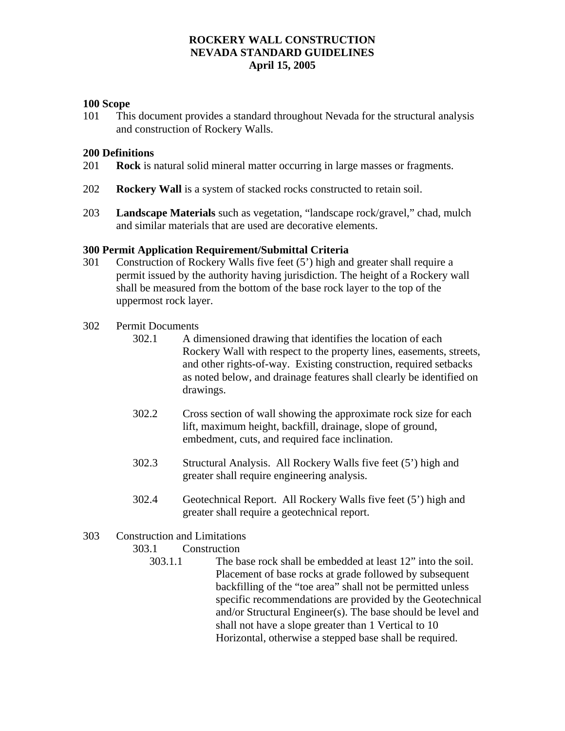## **100 Scope**

101 This document provides a standard throughout Nevada for the structural analysis and construction of Rockery Walls.

### **200 Definitions**

- 201 **Rock** is natural solid mineral matter occurring in large masses or fragments.
- 202 **Rockery Wall** is a system of stacked rocks constructed to retain soil.
- 203 **Landscape Materials** such as vegetation, "landscape rock/gravel," chad, mulch and similar materials that are used are decorative elements.

### **300 Permit Application Requirement/Submittal Criteria**

- 301 Construction of Rockery Walls five feet (5') high and greater shall require a permit issued by the authority having jurisdiction. The height of a Rockery wall shall be measured from the bottom of the base rock layer to the top of the uppermost rock layer.
- 302 Permit Documents
	- 302.1 A dimensioned drawing that identifies the location of each Rockery Wall with respect to the property lines, easements, streets, and other rights-of-way. Existing construction, required setbacks as noted below, and drainage features shall clearly be identified on drawings.
	- 302.2 Cross section of wall showing the approximate rock size for each lift, maximum height, backfill, drainage, slope of ground, embedment, cuts, and required face inclination.
	- 302.3 Structural Analysis. All Rockery Walls five feet (5') high and greater shall require engineering analysis.
	- 302.4 Geotechnical Report. All Rockery Walls five feet (5') high and greater shall require a geotechnical report.
- 303 Construction and Limitations

### 303.1 Construction

303.1.1 The base rock shall be embedded at least 12" into the soil. Placement of base rocks at grade followed by subsequent backfilling of the "toe area" shall not be permitted unless specific recommendations are provided by the Geotechnical and/or Structural Engineer(s). The base should be level and shall not have a slope greater than 1 Vertical to 10 Horizontal, otherwise a stepped base shall be required.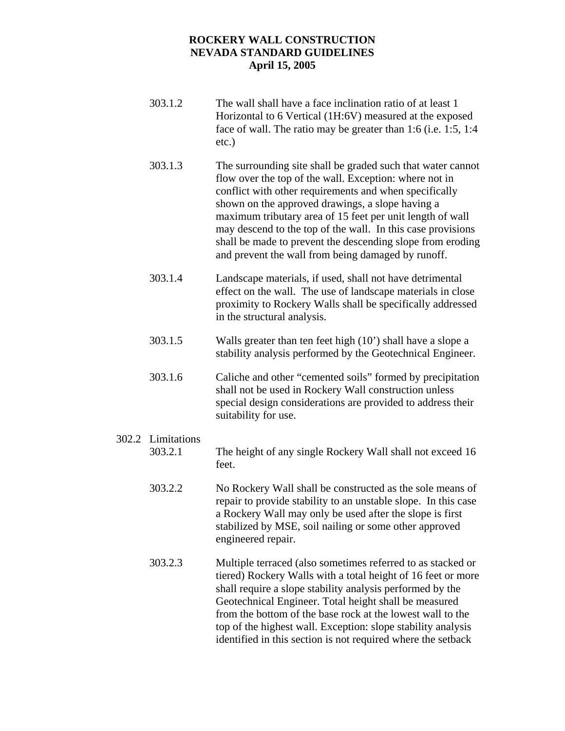- 303.1.2 The wall shall have a face inclination ratio of at least 1 Horizontal to 6 Vertical (1H:6V) measured at the exposed face of wall. The ratio may be greater than 1:6 (i.e. 1:5, 1:4 etc.)
- 303.1.3 The surrounding site shall be graded such that water cannot flow over the top of the wall. Exception: where not in conflict with other requirements and when specifically shown on the approved drawings, a slope having a maximum tributary area of 15 feet per unit length of wall may descend to the top of the wall. In this case provisions shall be made to prevent the descending slope from eroding and prevent the wall from being damaged by runoff.
- 303.1.4 Landscape materials, if used, shall not have detrimental effect on the wall. The use of landscape materials in close proximity to Rockery Walls shall be specifically addressed in the structural analysis.
- 303.1.5 Walls greater than ten feet high (10') shall have a slope a stability analysis performed by the Geotechnical Engineer.
- 303.1.6 Caliche and other "cemented soils" formed by precipitation shall not be used in Rockery Wall construction unless special design considerations are provided to address their suitability for use.
- 302.2 Limitations 303.2.1 The height of any single Rockery Wall shall not exceed 16 feet.
	- 303.2.2 No Rockery Wall shall be constructed as the sole means of repair to provide stability to an unstable slope. In this case a Rockery Wall may only be used after the slope is first stabilized by MSE, soil nailing or some other approved engineered repair.
	- 303.2.3 Multiple terraced (also sometimes referred to as stacked or tiered) Rockery Walls with a total height of 16 feet or more shall require a slope stability analysis performed by the Geotechnical Engineer. Total height shall be measured from the bottom of the base rock at the lowest wall to the top of the highest wall. Exception: slope stability analysis identified in this section is not required where the setback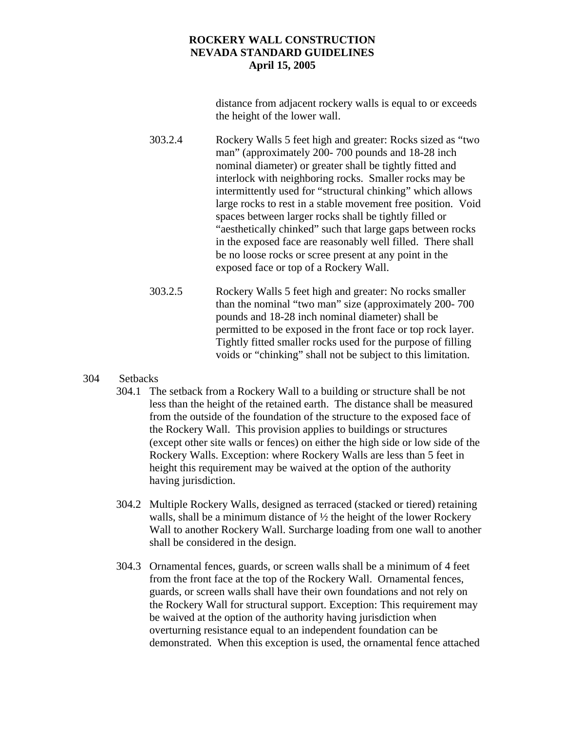distance from adjacent rockery walls is equal to or exceeds the height of the lower wall.

303.2.4 Rockery Walls 5 feet high and greater: Rocks sized as "two man" (approximately 200- 700 pounds and 18-28 inch nominal diameter) or greater shall be tightly fitted and interlock with neighboring rocks. Smaller rocks may be intermittently used for "structural chinking" which allows large rocks to rest in a stable movement free position. Void spaces between larger rocks shall be tightly filled or "aesthetically chinked" such that large gaps between rocks in the exposed face are reasonably well filled. There shall be no loose rocks or scree present at any point in the exposed face or top of a Rockery Wall.

303.2.5 Rockery Walls 5 feet high and greater: No rocks smaller than the nominal "two man" size (approximately 200- 700 pounds and 18-28 inch nominal diameter) shall be permitted to be exposed in the front face or top rock layer. Tightly fitted smaller rocks used for the purpose of filling voids or "chinking" shall not be subject to this limitation.

# 304 Setbacks

- 304.1 The setback from a Rockery Wall to a building or structure shall be not less than the height of the retained earth. The distance shall be measured from the outside of the foundation of the structure to the exposed face of the Rockery Wall. This provision applies to buildings or structures (except other site walls or fences) on either the high side or low side of the Rockery Walls. Exception: where Rockery Walls are less than 5 feet in height this requirement may be waived at the option of the authority having jurisdiction.
- 304.2 Multiple Rockery Walls, designed as terraced (stacked or tiered) retaining walls, shall be a minimum distance of  $\frac{1}{2}$  the height of the lower Rockery Wall to another Rockery Wall. Surcharge loading from one wall to another shall be considered in the design.
- 304.3 Ornamental fences, guards, or screen walls shall be a minimum of 4 feet from the front face at the top of the Rockery Wall. Ornamental fences, guards, or screen walls shall have their own foundations and not rely on the Rockery Wall for structural support. Exception: This requirement may be waived at the option of the authority having jurisdiction when overturning resistance equal to an independent foundation can be demonstrated. When this exception is used, the ornamental fence attached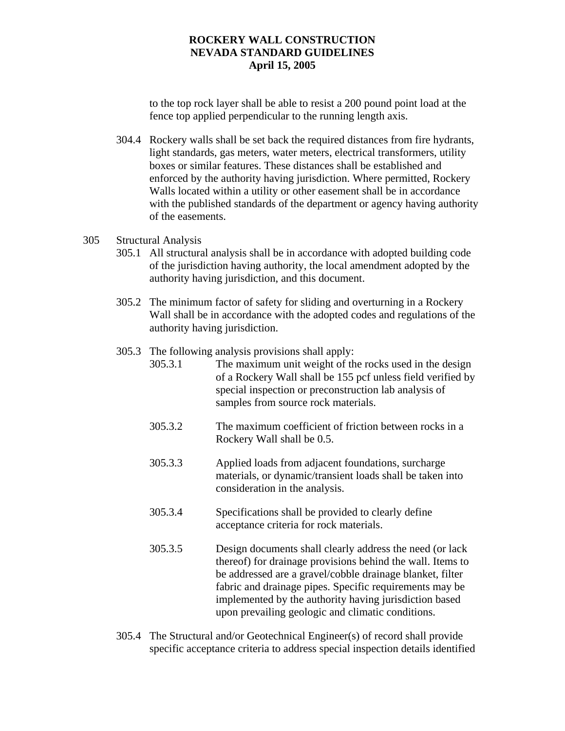to the top rock layer shall be able to resist a 200 pound point load at the fence top applied perpendicular to the running length axis.

304.4 Rockery walls shall be set back the required distances from fire hydrants, light standards, gas meters, water meters, electrical transformers, utility boxes or similar features. These distances shall be established and enforced by the authority having jurisdiction. Where permitted, Rockery Walls located within a utility or other easement shall be in accordance with the published standards of the department or agency having authority of the easements.

### 305 Structural Analysis

- 305.1 All structural analysis shall be in accordance with adopted building code of the jurisdiction having authority, the local amendment adopted by the authority having jurisdiction, and this document.
- 305.2 The minimum factor of safety for sliding and overturning in a Rockery Wall shall be in accordance with the adopted codes and regulations of the authority having jurisdiction.

# 305.3 The following analysis provisions shall apply:

- 305.3.1 The maximum unit weight of the rocks used in the design of a Rockery Wall shall be 155 pcf unless field verified by special inspection or preconstruction lab analysis of samples from source rock materials.
- 305.3.2 The maximum coefficient of friction between rocks in a Rockery Wall shall be 0.5.
- 305.3.3 Applied loads from adjacent foundations, surcharge materials, or dynamic/transient loads shall be taken into consideration in the analysis.
- 305.3.4 Specifications shall be provided to clearly define acceptance criteria for rock materials.
- 305.3.5 Design documents shall clearly address the need (or lack thereof) for drainage provisions behind the wall. Items to be addressed are a gravel/cobble drainage blanket, filter fabric and drainage pipes. Specific requirements may be implemented by the authority having jurisdiction based upon prevailing geologic and climatic conditions.
- 305.4 The Structural and/or Geotechnical Engineer(s) of record shall provide specific acceptance criteria to address special inspection details identified